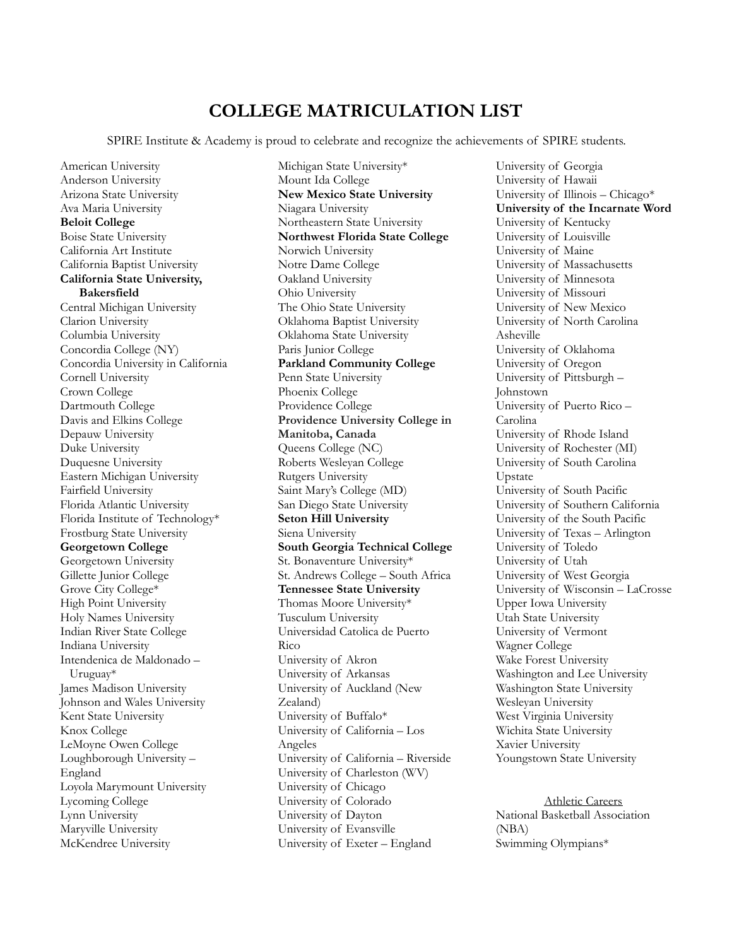## **COLLEGE MATRICULATION LIST**

SPIRE Institute & Academy is proud to celebrate and recognize the achievements of SPIRE students.

American University Anderson University Arizona State University Ava Maria University **Beloit College** Boise State University California Art Institute California Baptist University **California State University, Bakersfield** Central Michigan University Clarion University Columbia University Concordia College (NY) Concordia University in California Cornell University Crown College Dartmouth College Davis and Elkins College Depauw University Duke University Duquesne University Eastern Michigan University Fairfield University Florida Atlantic University Florida Institute of Technology\* Frostburg State University **Georgetown College** Georgetown University Gillette Junior College Grove City College\* High Point University Holy Names University Indian River State College Indiana University Intendenica de Maldonado – Uruguay\* James Madison University Johnson and Wales University Kent State University Knox College LeMoyne Owen College Loughborough University – England Loyola Marymount University Lycoming College Lynn University Maryville University McKendree University

Michigan State University\* Mount Ida College **New Mexico State University** Niagara University Northeastern State University **Northwest Florida State College** Norwich University Notre Dame College Oakland University Ohio University The Ohio State University Oklahoma Baptist University Oklahoma State University Paris Junior College **Parkland Community College** Penn State University Phoenix College Providence College **Providence University College in Manitoba, Canada** Queens College (NC) Roberts Wesleyan College Rutgers University Saint Mary's College (MD) San Diego State University **Seton Hill University** Siena University **South Georgia Technical College** St. Bonaventure University\* St. Andrews College – South Africa **Tennessee State University** Thomas Moore University\* Tusculum University Universidad Catolica de Puerto Rico University of Akron University of Arkansas University of Auckland (New Zealand) University of Buffalo\* University of California – Los Angeles University of California – Riverside University of Charleston (WV) University of Chicago University of Colorado University of Dayton University of Evansville University of Exeter – England

University of Georgia University of Hawaii University of Illinois – Chicago\* **University of the Incarnate Word** University of Kentucky University of Louisville University of Maine University of Massachusetts University of Minnesota University of Missouri University of New Mexico University of North Carolina Asheville University of Oklahoma University of Oregon University of Pittsburgh – Johnstown University of Puerto Rico – Carolina University of Rhode Island University of Rochester (MI) University of South Carolina Upstate University of South Pacific University of Southern California University of the South Pacific University of Texas – Arlington University of Toledo University of Utah University of West Georgia University of Wisconsin – LaCrosse Upper Iowa University Utah State University University of Vermont Wagner College Wake Forest University Washington and Lee University Washington State University Wesleyan University West Virginia University Wichita State University Xavier University Youngstown State University

Athletic Careers National Basketball Association (NBA) Swimming Olympians\*